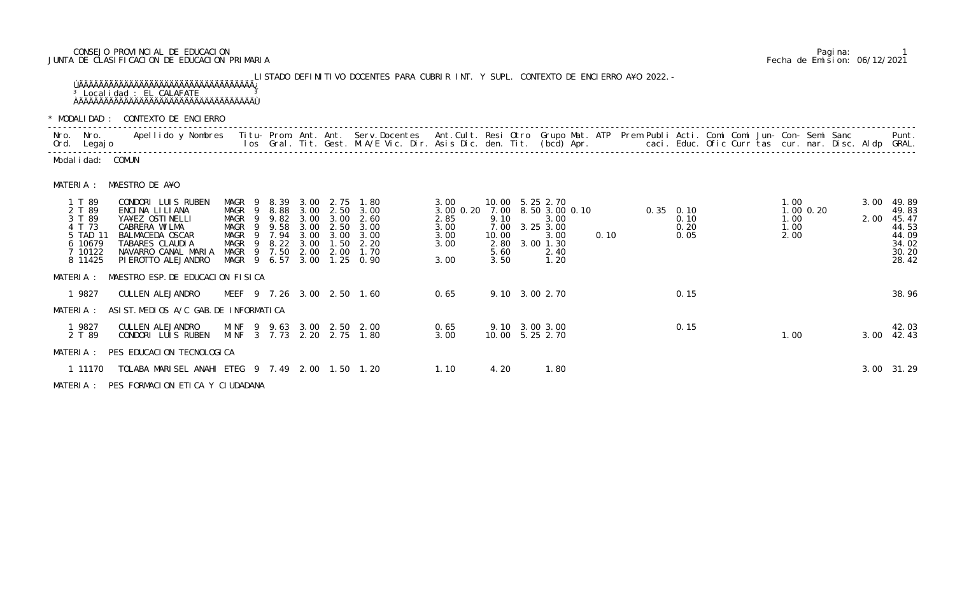## CONSEJO PROVINCIAL DE EDUCACION Pagina: 1 JUNTA DE CLASIFICACION DE EDUCACION PRIMARIA Fecha de Emision: 06/12/2021

LISTADO DEFINITIVO DOCENTES PARA CUBRIR INT. Y SUPL. CONTEXTO DE ENCIERRO A¥O 2022.- ÚÄÄÄÄÄÄÄÄÄÄÄÄÄÄÄÄÄÄÄÄÄÄÄÄÄÄÄÄÄÄÄÄÄÄÄ¿ <sup>3</sup> Localidad : EL CALAFATE <sup>3</sup> ÀÄÄÄÄÄÄÄÄÄÄÄÄÄÄÄÄÄÄÄÄÄÄÄÄÄÄÄÄÄÄÄÄÄÄÄÙ

| * MODALIDAD:                                                                      | CONTEXTO DE ENCIERRO                                                                                                                                                                                                          |                                                                     |                                                    |                                                       |                                                              |                                                      |                                                                           |                                                           |                                                       |                                                                           |                |      |                                     |                                                      |                              |               |              |                                                                      |
|-----------------------------------------------------------------------------------|-------------------------------------------------------------------------------------------------------------------------------------------------------------------------------------------------------------------------------|---------------------------------------------------------------------|----------------------------------------------------|-------------------------------------------------------|--------------------------------------------------------------|------------------------------------------------------|---------------------------------------------------------------------------|-----------------------------------------------------------|-------------------------------------------------------|---------------------------------------------------------------------------|----------------|------|-------------------------------------|------------------------------------------------------|------------------------------|---------------|--------------|----------------------------------------------------------------------|
| Nro. Nro.<br>Ord. Legajo                                                          | Apellido y Nombres - Titu- Prom. Ant. Ant. Serv.Docentes - Ant.Cult. Resi Otro Grupo Mat. ATP - Prem Publi Acti. Comi Comi Jun- Con- Semi Sanc - Semi Sanc - Semi Sanc - Semi Sanc - Semi Sanc - Semi Sanc - Semi Sanc - Semi |                                                                     |                                                    |                                                       |                                                              |                                                      |                                                                           |                                                           |                                                       |                                                                           |                |      |                                     | caci. Educ. Ofic Curr tas cur. nar. Disc. Aldp GRAL. |                              |               |              | Punt.                                                                |
| Modal i dad: COMUN                                                                |                                                                                                                                                                                                                               |                                                                     |                                                    |                                                       |                                                              |                                                      |                                                                           |                                                           |                                                       |                                                                           |                |      |                                     |                                                      |                              |               |              |                                                                      |
| MATERIA :                                                                         | MAESTRO DE A¥O                                                                                                                                                                                                                |                                                                     |                                                    |                                                       |                                                              |                                                      |                                                                           |                                                           |                                                       |                                                                           |                |      |                                     |                                                      |                              |               |              |                                                                      |
| 1 T 89<br>2 T 89<br>3 T 89<br>4 T 73<br>5 TAD 11<br>6 10679<br>7 10122<br>8 11425 | CONDORI LUIS RUBEN<br>ENCINA LILIANA<br>YA¥EZ OSTINELLI<br>CABRERA WILMA<br>BALMACEDA OSCAR<br>TABARES CLAUDIA<br>NAVARRO CANAL MARIA<br>PI EROTTO ALEJANDRO                                                                  | MAGR<br>MAGR<br>MAGR<br>MAGR<br>MAGR<br>MAGR<br>MAGR<br>MAGR 9 6.57 | - 9<br>- 9<br>9<br>- 9<br>9<br>9<br>$\overline{9}$ | 8. 39<br>8.88<br>9.82<br>9.58<br>7.94<br>8.22<br>7.50 | 3.00<br>3.00<br>3.00<br>3.00<br>3.00<br>3.00<br>2.00<br>3.00 | 2.75<br>2.50<br>3.00<br>2.50<br>3.00<br>1.50<br>2.00 | 1.80<br>3.00<br>2.60<br>3.00<br>3.00<br>2.20<br>1.70<br>$1.25 \quad 0.90$ | 3.00<br>3.00 0.20<br>2.85<br>3.00<br>3.00<br>3.00<br>3.00 | 7.00<br>9.10<br>7.00<br>10.00<br>2.80<br>5.60<br>3.50 | 10.00 5.25 2.70<br>3.00<br>3.25 3.00<br>3.00<br>3.00 1.30<br>2.40<br>1.20 | 8.50 3.00 0.10 | 0.10 | $0.35$ 0.10<br>0.10<br>0.20<br>0.05 |                                                      | 1.00<br>1.00<br>1.00<br>2.00 | $1.00$ $0.20$ | 3.00<br>2.00 | 49.89<br>49.83<br>45.47<br>44.53<br>44.09<br>34.02<br>30.20<br>28.42 |
| MATERIA :                                                                         | MAESTRO ESP. DE EDUCACION FISICA                                                                                                                                                                                              |                                                                     |                                                    |                                                       |                                                              |                                                      |                                                                           |                                                           |                                                       |                                                                           |                |      |                                     |                                                      |                              |               |              |                                                                      |
| 1 9827                                                                            | CULLEN ALEJANDRO                                                                                                                                                                                                              |                                                                     |                                                    |                                                       |                                                              |                                                      | MEEF 9 7.26 3.00 2.50 1.60                                                | 0.65                                                      |                                                       | 9.10 3.00 2.70                                                            |                |      | 0.15                                |                                                      |                              |               |              | 38.96                                                                |
| MATERIA :                                                                         | ASI ST. MEDIOS A/C GAB. DE INFORMATICA                                                                                                                                                                                        |                                                                     |                                                    |                                                       |                                                              |                                                      |                                                                           |                                                           |                                                       |                                                                           |                |      |                                     |                                                      |                              |               |              |                                                                      |
| 1 9827<br>2 T 89                                                                  | CULLEN ALEJANDRO<br>CONDORI LUIS RUBEN                                                                                                                                                                                        | MINF 9 9.63                                                         |                                                    |                                                       |                                                              |                                                      | 3.00 2.50 2.00<br>MINF 3 7.73 2.20 2.75 1.80                              | 0.65<br>3.00                                              |                                                       | 9.10 3.00 3.00<br>10.00 5.25 2.70                                         |                |      | 0.15                                |                                                      | 1.00                         |               | 3.00         | 42.03<br>42.43                                                       |
|                                                                                   | MATERIA : PES EDUCACION TECNOLOGICA                                                                                                                                                                                           |                                                                     |                                                    |                                                       |                                                              |                                                      |                                                                           |                                                           |                                                       |                                                                           |                |      |                                     |                                                      |                              |               |              |                                                                      |
| 1 11170                                                                           | TOLABA MARISEL ANAHI ETEG 9 7.49 2.00 1.50 1.20                                                                                                                                                                               |                                                                     |                                                    |                                                       |                                                              |                                                      |                                                                           | 1.10                                                      | 4.20                                                  | 1.80                                                                      |                |      |                                     |                                                      |                              |               |              | 3.00 31.29                                                           |

| * MODALIDAD :                                                                     |                                                                                          | CONTEXTO DE ENCIERRO                                             |                                                        |                                    |                                                                     |                                                              |                                                              |                                                                                                                                                                                                                               |                                                           |                                                       |                                                                                             |      |                                       |                                                      |                                               |  |      |                                                                           |
|-----------------------------------------------------------------------------------|------------------------------------------------------------------------------------------|------------------------------------------------------------------|--------------------------------------------------------|------------------------------------|---------------------------------------------------------------------|--------------------------------------------------------------|--------------------------------------------------------------|-------------------------------------------------------------------------------------------------------------------------------------------------------------------------------------------------------------------------------|-----------------------------------------------------------|-------------------------------------------------------|---------------------------------------------------------------------------------------------|------|---------------------------------------|------------------------------------------------------|-----------------------------------------------|--|------|---------------------------------------------------------------------------|
| Nro. Nro.<br>Ord. Legajo                                                          |                                                                                          |                                                                  |                                                        |                                    |                                                                     |                                                              |                                                              | Apellido y Nombres - Titu- Prom. Ant. Ant. Serv.Docentes - Ant.Cult. Resi Otro Grupo Mat. ATP - Prem Publi Acti. Comi Comi Jun- Con- Semi Sanc - Semi Sanc - Semi Sanc - Semi Sanc - Semi Sanc - Semi Sanc - Semi Sanc. Disc. |                                                           |                                                       |                                                                                             |      |                                       | caci. Educ. Ofic Curr tas cur. nar. Disc. Aldp GRAL. |                                               |  |      | Punt.                                                                     |
| Modal i dad: COMUN                                                                |                                                                                          |                                                                  |                                                        |                                    |                                                                     |                                                              |                                                              |                                                                                                                                                                                                                               |                                                           |                                                       |                                                                                             |      |                                       |                                                      |                                               |  |      |                                                                           |
| MATERIA :                                                                         | MAESTRO DE A¥O                                                                           |                                                                  |                                                        |                                    |                                                                     |                                                              |                                                              |                                                                                                                                                                                                                               |                                                           |                                                       |                                                                                             |      |                                       |                                                      |                                               |  |      |                                                                           |
| 1 T 89<br>2 T 89<br>3 T 89<br>4 T 73<br>5 TAD 11<br>6 10679<br>7 10122<br>8 11425 | ENCINA LILIANA<br>YA¥EZ OSTINELLI<br>CABRERA WILMA<br>BALMACEDA OSCAR<br>TABARES CLAUDIA | CONDORI LUIS RUBEN<br>NAVARRO CANAL MARIA<br>PI EROTTO ALEJANDRO | MAGR 9<br>MAGR<br>MAGR<br>MAGR<br>MAGR<br>MAGR<br>MAGR | - 9<br>-9<br>-9<br>-9<br>- 9<br>-9 | 8.39<br>8.88<br>9.82<br>9.58<br>7.94<br>8.22<br>7.50<br>MAGR 9 6.57 | 3.00<br>3.00<br>3.00<br>3.00<br>3.00<br>3.00<br>2.00<br>3.00 | 2.75<br>2.50<br>3.00<br>2.50<br>3.00<br>1.50<br>2.00<br>1.25 | 1.80<br>3.00<br>2.60<br>3.00<br>3.00<br>2.20<br>1.70<br>0.90                                                                                                                                                                  | 3.00<br>3.00 0.20<br>2.85<br>3.00<br>3.00<br>3.00<br>3.00 | 7.00<br>9.10<br>7.00<br>10.00<br>2.80<br>5.60<br>3.50 | 10.00 5.25 2.70<br>8.50 3.00 0.10<br>3.00<br>3.25 3.00<br>3.00<br>3.00 1.30<br>2.40<br>1.20 | 0.10 | $0.35$ $0.10$<br>0.10<br>0.20<br>0.05 |                                                      | 1.00<br>$1.00$ $0.20$<br>1.00<br>1.00<br>2.00 |  | 2.00 | 3.00 49.89<br>49.83<br>45.47<br>44.53<br>44.09<br>34.02<br>30.20<br>28.42 |
| MATERIA :                                                                         |                                                                                          | MAESTRO ESP. DE EDUCACION FISICA                                 |                                                        |                                    |                                                                     |                                                              |                                                              |                                                                                                                                                                                                                               |                                                           |                                                       |                                                                                             |      |                                       |                                                      |                                               |  |      |                                                                           |
| 1 9827                                                                            | CULLEN ALEJANDRO                                                                         |                                                                  |                                                        |                                    |                                                                     |                                                              |                                                              | MEEF 9 7.26 3.00 2.50 1.60                                                                                                                                                                                                    | 0.65                                                      |                                                       | 9.10 3.00 2.70                                                                              |      | 0.15                                  |                                                      |                                               |  |      | 38.96                                                                     |
| MATERIA :                                                                         |                                                                                          | ASIST. MEDIOS A/C GAB. DE INFORMATICA                            |                                                        |                                    |                                                                     |                                                              |                                                              |                                                                                                                                                                                                                               |                                                           |                                                       |                                                                                             |      |                                       |                                                      |                                               |  |      |                                                                           |
| 1 9827<br>2 T 89                                                                  | CULLEN ALEJANDRO                                                                         | CONDORI LUIS RUBEN                                               |                                                        |                                    |                                                                     |                                                              |                                                              | MINF 9 9.63 3.00 2.50 2.00<br>MINF 3 7.73 2.20 2.75 1.80                                                                                                                                                                      | 0.65<br>3.00                                              |                                                       | 9.10 3.00 3.00<br>10.00 5.25 2.70                                                           |      | 0.15                                  |                                                      | 1.00                                          |  | 3.00 | 42.03<br>42.43                                                            |
| MATERIA :                                                                         |                                                                                          | PES EDUCACION TECNOLOGICA                                        |                                                        |                                    |                                                                     |                                                              |                                                              |                                                                                                                                                                                                                               |                                                           |                                                       |                                                                                             |      |                                       |                                                      |                                               |  |      |                                                                           |
| 1 11170                                                                           |                                                                                          | TOLABA MARISEL ANAHI ETEG 9 7.49 2.00 1.50 1.20                  |                                                        |                                    |                                                                     |                                                              |                                                              |                                                                                                                                                                                                                               | 1.10                                                      | 4.20                                                  | 1.80                                                                                        |      |                                       |                                                      |                                               |  |      | 3.00 31.29                                                                |
|                                                                                   |                                                                                          | MATERIA : PES FORMACION ETICA Y CIUDADANA                        |                                                        |                                    |                                                                     |                                                              |                                                              |                                                                                                                                                                                                                               |                                                           |                                                       |                                                                                             |      |                                       |                                                      |                                               |  |      |                                                                           |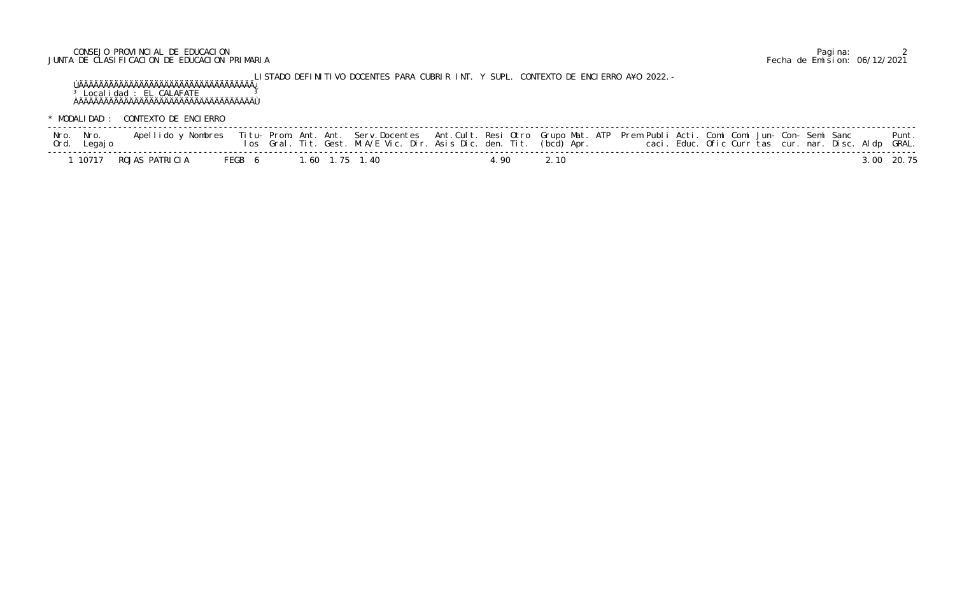## CONSEJO PROVINCIAL DE EDUCACION Pagina: 2 JUNTA DE CLASIFICACION DE EDUCACION PRIMARIA Fecha de Emision: 06/12/2021

LISTADO DEFINITIVO DOCENTES PARA CUBRIR INT. Y SUPL. CONTEXTO DE ENCIERRO A¥O 2022.- ÚÄÄÄÄÄÄÄÄÄÄÄÄÄÄÄÄÄÄÄÄÄÄÄÄÄÄÄÄÄÄÄÄÄÄÄ¿ <sup>3</sup> Localidad : EL CALAFATE <sup>3</sup> ÀÄÄÄÄÄÄÄÄÄÄÄÄÄÄÄÄÄÄÄÄÄÄÄÄÄÄÄÄÄÄÄÄÄÄÄÙ

\* MODALIDAD : CONTEXTO DE ENCIERRO

| Nro. Nro.<br>Ord. Legajo | Apellido y Nombres |  |                       | los Gral. Tit. Gest. M.A/E Vic. Dir. Asis Dic. den. Tit. (bcd) Apr. |        |      | Titu- Prom. Ant. Ant. Serv.Docentes Ant.Cult. Resi Otro Grupo Mat. ATP Prem Publi Acti. Comi Comi Jun- Con- Semi Sanc | caci. Educ. Ofic Curr tas cur. nar. Disc. Aldp GRAL. |  | Punt.      |
|--------------------------|--------------------|--|-----------------------|---------------------------------------------------------------------|--------|------|-----------------------------------------------------------------------------------------------------------------------|------------------------------------------------------|--|------------|
| 10717                    | ROJAS PATRICIA     |  | FEGB 6 1.60 1.75 1.40 |                                                                     | ' 90 L | 2.10 |                                                                                                                       |                                                      |  | 3 00 20 75 |